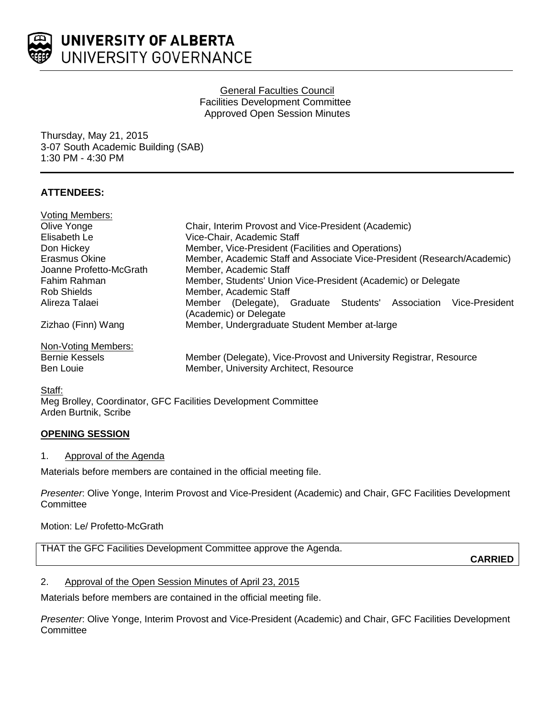

### General Faculties Council Facilities Development Committee Approved Open Session Minutes

Thursday, May 21, 2015 3-07 South Academic Building (SAB) 1:30 PM - 4:30 PM

# **ATTENDEES:**

| <b>Voting Members:</b>  |                                                                                               |
|-------------------------|-----------------------------------------------------------------------------------------------|
| Olive Yonge             | Chair, Interim Provost and Vice-President (Academic)                                          |
| Elisabeth Le            | Vice-Chair, Academic Staff                                                                    |
| Don Hickey              | Member, Vice-President (Facilities and Operations)                                            |
| Erasmus Okine           | Member, Academic Staff and Associate Vice-President (Research/Academic)                       |
| Joanne Profetto-McGrath | Member, Academic Staff                                                                        |
| Fahim Rahman            | Member, Students' Union Vice-President (Academic) or Delegate                                 |
| Rob Shields             | Member, Academic Staff                                                                        |
| Alireza Talaei          | Member (Delegate), Graduate Students' Association<br>Vice-President<br>(Academic) or Delegate |
| Zizhao (Finn) Wang      | Member, Undergraduate Student Member at-large                                                 |
| Non-Voting Members:     |                                                                                               |
| Bernie Kessels          | Member (Delegate), Vice-Provost and University Registrar, Resource                            |
| Ben Louie               | Member, University Architect, Resource                                                        |
|                         |                                                                                               |

Staff:

Meg Brolley, Coordinator, GFC Facilities Development Committee Arden Burtnik, Scribe

## **OPENING SESSION**

## 1. Approval of the Agenda

Materials before members are contained in the official meeting file.

*Presenter*: Olive Yonge, Interim Provost and Vice-President (Academic) and Chair, GFC Facilities Development **Committee** 

## Motion: Le/ Profetto-McGrath

THAT the GFC Facilities Development Committee approve the Agenda.

**CARRIED**

## 2. Approval of the Open Session Minutes of April 23, 2015

Materials before members are contained in the official meeting file.

*Presenter*: Olive Yonge, Interim Provost and Vice-President (Academic) and Chair, GFC Facilities Development **Committee**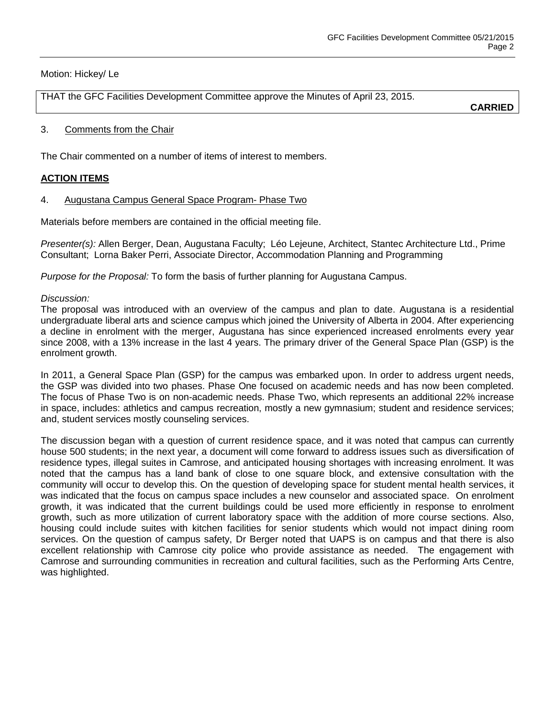Motion: Hickey/ Le

THAT the GFC Facilities Development Committee approve the Minutes of April 23, 2015.

**CARRIED**

### 3. Comments from the Chair

The Chair commented on a number of items of interest to members.

### **ACTION ITEMS**

4. Augustana Campus General Space Program- Phase Two

Materials before members are contained in the official meeting file.

*Presenter(s):* Allen Berger, Dean, Augustana Faculty; Léo Lejeune, Architect, Stantec Architecture Ltd., Prime Consultant; Lorna Baker Perri, Associate Director, Accommodation Planning and Programming

*Purpose for the Proposal:* To form the basis of further planning for Augustana Campus.

### *Discussion:*

The proposal was introduced with an overview of the campus and plan to date. Augustana is a residential undergraduate liberal arts and science campus which joined the University of Alberta in 2004. After experiencing a decline in enrolment with the merger, Augustana has since experienced increased enrolments every year since 2008, with a 13% increase in the last 4 years. The primary driver of the General Space Plan (GSP) is the enrolment growth.

In 2011, a General Space Plan (GSP) for the campus was embarked upon. In order to address urgent needs, the GSP was divided into two phases. Phase One focused on academic needs and has now been completed. The focus of Phase Two is on non-academic needs. Phase Two, which represents an additional 22% increase in space, includes: athletics and campus recreation, mostly a new gymnasium; student and residence services; and, student services mostly counseling services.

The discussion began with a question of current residence space, and it was noted that campus can currently house 500 students; in the next year, a document will come forward to address issues such as diversification of residence types, illegal suites in Camrose, and anticipated housing shortages with increasing enrolment. It was noted that the campus has a land bank of close to one square block, and extensive consultation with the community will occur to develop this. On the question of developing space for student mental health services, it was indicated that the focus on campus space includes a new counselor and associated space. On enrolment growth, it was indicated that the current buildings could be used more efficiently in response to enrolment growth, such as more utilization of current laboratory space with the addition of more course sections. Also, housing could include suites with kitchen facilities for senior students which would not impact dining room services. On the question of campus safety, Dr Berger noted that UAPS is on campus and that there is also excellent relationship with Camrose city police who provide assistance as needed. The engagement with Camrose and surrounding communities in recreation and cultural facilities, such as the Performing Arts Centre, was highlighted.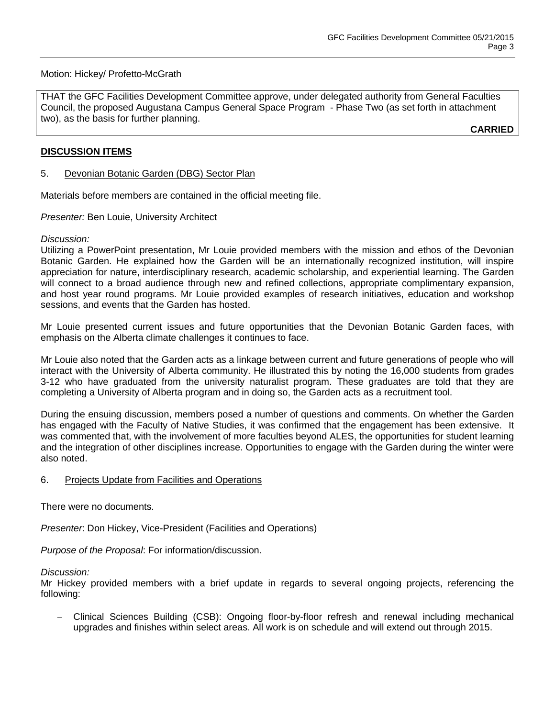### Motion: Hickey/ Profetto-McGrath

THAT the GFC Facilities Development Committee approve, under delegated authority from General Faculties Council, the proposed Augustana Campus General Space Program - Phase Two (as set forth in attachment two), as the basis for further planning.

**CARRIED**

### **DISCUSSION ITEMS**

### 5. Devonian Botanic Garden (DBG) Sector Plan

Materials before members are contained in the official meeting file.

*Presenter:* Ben Louie, University Architect

#### *Discussion:*

Utilizing a PowerPoint presentation, Mr Louie provided members with the mission and ethos of the Devonian Botanic Garden. He explained how the Garden will be an internationally recognized institution, will inspire appreciation for nature, interdisciplinary research, academic scholarship, and experiential learning. The Garden will connect to a broad audience through new and refined collections, appropriate complimentary expansion, and host year round programs. Mr Louie provided examples of research initiatives, education and workshop sessions, and events that the Garden has hosted.

Mr Louie presented current issues and future opportunities that the Devonian Botanic Garden faces, with emphasis on the Alberta climate challenges it continues to face.

Mr Louie also noted that the Garden acts as a linkage between current and future generations of people who will interact with the University of Alberta community. He illustrated this by noting the 16,000 students from grades 3-12 who have graduated from the university naturalist program. These graduates are told that they are completing a University of Alberta program and in doing so, the Garden acts as a recruitment tool.

During the ensuing discussion, members posed a number of questions and comments. On whether the Garden has engaged with the Faculty of Native Studies, it was confirmed that the engagement has been extensive. It was commented that, with the involvement of more faculties beyond ALES, the opportunities for student learning and the integration of other disciplines increase. Opportunities to engage with the Garden during the winter were also noted.

#### 6. Projects Update from Facilities and Operations

There were no documents.

*Presenter*: Don Hickey, Vice-President (Facilities and Operations)

*Purpose of the Proposal*: For information/discussion.

#### *Discussion:*

Mr Hickey provided members with a brief update in regards to several ongoing projects, referencing the following:

− Clinical Sciences Building (CSB): Ongoing floor-by-floor refresh and renewal including mechanical upgrades and finishes within select areas. All work is on schedule and will extend out through 2015.